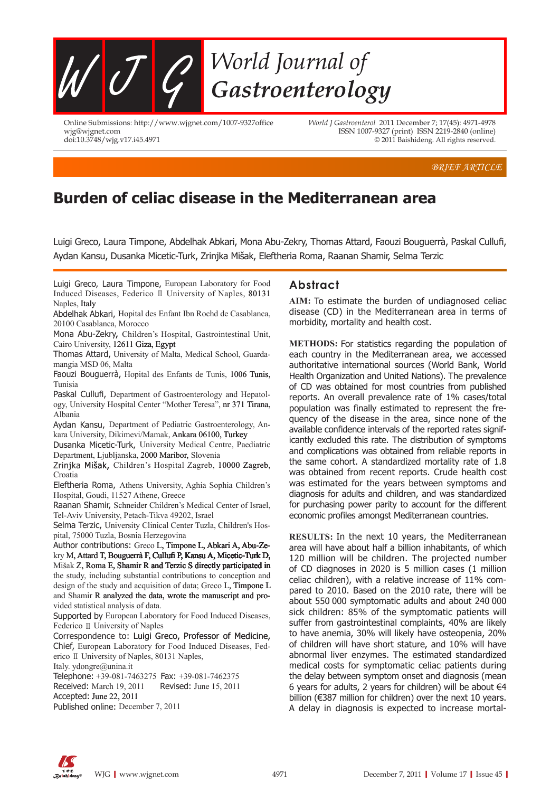

Online Submissions: http://www.wjgnet.com/1007-9327office wjg@wjgnet.com doi:10.3748/wjg.v17.i45.4971

*World J Gastroenterol* 2011 December 7; 17(45): 4971-4978 ISSN 1007-9327 (print) ISSN 2219-2840 (online) © 2011 Baishideng. All rights reserved.

 *BRIEF ARTICLE*

# **Burden of celiac disease in the Mediterranean area**

Luigi Greco, Laura Timpone, Abdelhak Abkari, Mona Abu-Zekry, Thomas Attard, Faouzi Bouguerrà, Paskal Cullufi, Aydan Kansu, Dusanka Micetic-Turk, Zrinjka Mišak, Eleftheria Roma, Raanan Shamir, Selma Terzic

Luigi Greco, Laura Timpone, European Laboratory for Food Induced Diseases, Federico Ⅱ University of Naples, ���� 80131 Naples, Italy

Abdelhak Abkari, Hopital des Enfant Ibn Rochd de Casablanca, 20100 Casablanca, Morocco

Mona Abu-Zekry, Children's Hospital, Gastrointestinal Unit, Cairo University, 12611 Giza, Egypt

Thomas Attard, University of Malta, Medical School, Guardamangia MSD 06, Malta

Faouzi Bouguerrà, Hopital des Enfants de Tunis, 1006 Tunis, Tunisia

Paskal Cullufi, Department of Gastroenterology and Hepatology, University Hospital Center "Mother Teresa", nr 371 Tirana, Albania

Aydan Kansu, Department of Pediatric Gastroenterology, Ankara University, Dikimevi/Mamak, Ankara 06100, Turkey

Dusanka Micetic-Turk, University Medical Centre, Paediatric Department, Ljubljanska, 2000 Maribor, Slovenia

Zrinjka Mišak, Children's Hospital Zagreb, 10000 Zagreb, Croatia

Eleftheria Roma, Athens University, Aghia Sophia Children's Hospital, Goudi, 11527 Athene, Greece

Raanan Shamir, Schneider Children's Medical Center of Israel, Tel-Aviv University, Petach-Tikva 49202, Israel

Selma Terzic, University Clinical Center Tuzla, Children's Hospital, 75000 Tuzla, Bosnia Herzegovina

Author contributions: Greco L, Timpone L, Abkari A, Abu-Zekry M, Attard T, Bouguerrà F, Cullufi P, Kansu A, Micetic-Turk D, Mišak Z, Roma E, Shamir R and Terzic S directly participated in the study, including substantial contributions to conception and design of the study and acquisition of data; Greco L, TimponeL and Shamir R analyzed the data, wrote the manuscript and provided statistical analysis of data.

Supported by European Laboratory for Food Induced Diseases, Federico Ⅱ University of Naples

Correspondence to: Luigi Greco, �rofessor of Medicine, Chief, European Laboratory for Food Induced Diseases, Federico Ⅱ University of Naples, 80131 Naples,

Italy. ydongre@unina.it

Telephone: +39-081-7463275 Fax: +39-081-7462375 Received: March 19, 2011 Revised: June 15, 2011 Accepted: June 22, 2011 Published online: December 7, 2011

# **Abstract**

**AIM:** To estimate the burden of undiagnosed celiac disease (CD) in the Mediterranean area in terms of morbidity, mortality and health cost.

**METHODS:** For statistics regarding the population of each country in the Mediterranean area, we accessed authoritative international sources (World Bank, World Health Organization and United Nations). The prevalence of CD was obtained for most countries from published reports. An overall prevalence rate of 1% cases/total population was finally estimated to represent the frequency of the disease in the area, since none of the available confidence intervals of the reported rates significantly excluded this rate. The distribution of symptoms and complications was obtained from reliable reports in the same cohort. A standardized mortality rate of 1.8 was obtained from recent reports. Crude health cost was estimated for the years between symptoms and diagnosis for adults and children, and was standardized for purchasing power parity to account for the different economic profiles amongst Mediterranean countries.

**RESULTS:** In the next 10 years, the Mediterranean area will have about half a billion inhabitants, of which 120 million will be children. The projected number of CD diagnoses in 2020 is 5 million cases (1 million celiac children), with a relative increase of 11% compared to 2010. Based on the 2010 rate, there will be about 550 000 symptomatic adults and about 240 000 sick children: 85% of the symptomatic patients will suffer from gastrointestinal complaints, 40% are likely to have anemia, 30% will likely have osteopenia, 20% of children will have short stature, and 10% will have abnormal liver enzymes. The estimated standardized medical costs for symptomatic celiac patients during the delay between symptom onset and diagnosis (mean 6 years for adults, 2 years for children) will be about  $\epsilon$ 4 billion (€387 million for children) over the next 10 years. A delay in diagnosis is expected to increase mortal-

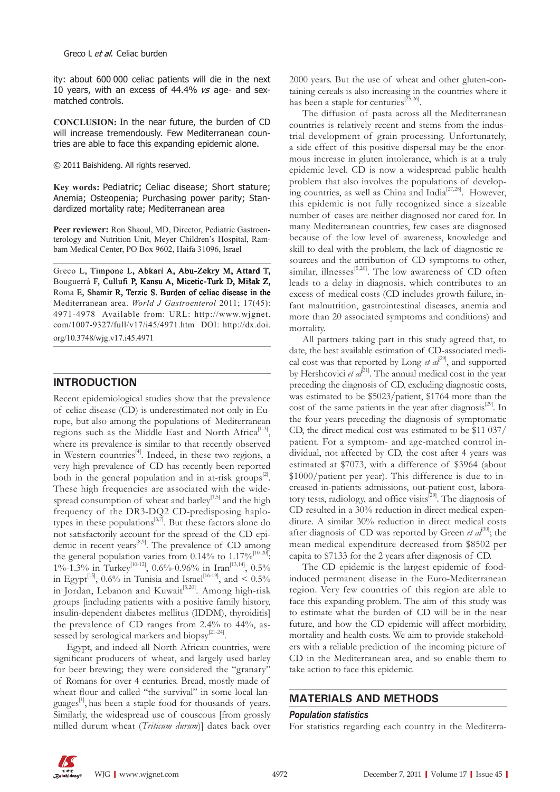ity: about 600 000 celiac patients will die in the next 10 years, with an excess of  $44.4\%$   $\kappa$  age- and sexmatched controls.

**CONCLUSION:** In the near future, the burden of CD will increase tremendously. Few Mediterranean countries are able to face this expanding epidemic alone.

© 2011 Baishideng. All rights reserved.

**Key words:** Pediatric�; Celiac disease; Short stature; Anemia; Osteopenia; Purchasing power parity; Standardized mortality rate; Mediterranean area

Peer reviewer: Ron Shaoul, MD, Director, Pediatric Gastroenterology and Nutrition Unit, Meyer Children's Hospital, Rambam Medical Center, PO Box 9602, Haifa 31096, Israel

Greco L, Timpone L, Abkari A, Abu-Zekry M, Attard T, Bouguerrà F, Cullufi P, Kansu A, Micetic-Turk D, Mišak Z, Roma E, Shamir R, Terzic S. Burden of celiac disease in the Mediterranean area. *World J Gastroenterol* 2011; 17(45): 4971-4978 Available from: URL: http://www.wjgnet. com/1007-9327/full/v17/i45/4971.htm DOI: http://dx.doi. org/10.3748/wjg.v17.i45.4971

### **INTRODUCTION**

Recent epidemiological studies show that the prevalence of celiac disease (CD) is underestimated not only in Europe, but also among the populations of Mediterranean regions such as the Middle East and North Africa<sup>[1-3]</sup>, where its prevalence is similar to that recently observed in Western countries<sup>[4]</sup>. Indeed, in these two regions, a very high prevalence of CD has recently been reported both in the general population and in at-risk groups $^{2}$ . These high frequencies are associated with the widespread consumption of wheat and barley<sup>[1,5]</sup> and the high frequency of the DR3-DQ2 CD-predisposing haplotypes in these populations $[6,7]$ . But these factors alone do not satisfactorily account for the spread of the CD epidemic in recent years<sup>[8,9]</sup>. The prevalence of CD among the general population varies from  $0.14\%$  to  $1.17\%$ <sup>[10-20]</sup>: 1%-1.3% in Turkey<sup>[10-12]</sup>, 0.6%-0.96% in Iran<sup>[13,14]</sup>, 0.5% in Egypt<sup>[15]</sup>, 0.6% in Tunisia and Israel<sup>[16-19]</sup>, and < 0.5% in Jordan, Lebanon and Kuwait<sup>[5,20]</sup>. Among high-risk groups [including patients with a positive family history, insulin-dependent diabetes mellitus (IDDM), thyroiditis] the prevalence of CD ranges from 2.4% to 44%, assessed by serological markers and biopsy<sup>[21-24]</sup>.

Egypt, and indeed all North African countries, were significant producers of wheat, and largely used barley for beer brewing; they were considered the "granary" of Romans for over 4 centuries. Bread, mostly made of wheat flour and called "the survival" in some local languages<sup>[1]</sup>, has been a staple food for thousands of years. Similarly, the widespread use of couscous [from grossly milled durum wheat (*Triticum durum*)] dates back over 2000 years. But the use of wheat and other gluten-containing cereals is also increasing in the countries where it has been a staple for centuries<sup>[25,26]</sup>.

The diffusion of pasta across all the Mediterranean countries is relatively recent and stems from the industrial development of grain processing. Unfortunately, a side effect of this positive dispersal may be the enormous increase in gluten intolerance, which is at a truly epidemic level. CD is now a widespread public health problem that also involves the populations of developing countries, as well as China and India<sup>[27,28]</sup>. However, this epidemic is not fully recognized since a sizeable number of cases are neither diagnosed nor cared for. In many Mediterranean countries, few cases are diagnosed because of the low level of awareness, knowledge and skill to deal with the problem, the lack of diagnostic resources and the attribution of CD symptoms to other, similar, illnesses $^{[5,20]}$ . The low awareness of CD often leads to a delay in diagnosis, which contributes to an excess of medical costs (CD includes growth failure, infant malnutrition, gastrointestinal diseases, anemia and more than 20 associated symptoms and conditions) and mortality.

All partners taking part in this study agreed that, to date, the best available estimation of CD-associated medical cost was that reported by Long  $et al^{[29]}$ , and supported by Hershcovici *et al*<sup>[31]</sup>. The annual medical cost in the year preceding the diagnosis of CD, excluding diagnostic costs, was estimated to be \$5023/patient, \$1764 more than the cost of the same patients in the year after diagnosis<sup>[29]</sup>. In the four years preceding the diagnosis of symptomatic CD, the direct medical cost was estimated to be \$11 037/ patient. For a symptom- and age-matched control individual, not affected by CD, the cost after 4 years was estimated at \$7073, with a difference of \$3964 (about \$1000/patient per year). This difference is due to increased in-patients admissions, out-patient cost, laboratory tests, radiology, and office visits $[29]$ . The diagnosis of CD resulted in a 30% reduction in direct medical expenditure. A similar 30% reduction in direct medical costs after diagnosis of CD was reported by Green *et al*<sup>[30]</sup>; the mean medical expenditure decreased from \$8502 per capita to \$7133 for the 2 years after diagnosis of CD.

The CD epidemic is the largest epidemic of foodinduced permanent disease in the Euro-Mediterranean region. Very few countries of this region are able to face this expanding problem. The aim of this study was to estimate what the burden of CD will be in the near future, and how the CD epidemic will affect morbidity, mortality and health costs. We aim to provide stakeholders with a reliable prediction of the incoming picture of CD in the Mediterranean area, and so enable them to take action to face this epidemic.

### **MATERIALS AND METHODS**

### *Population statistics*

For statistics regarding each country in the Mediterra-

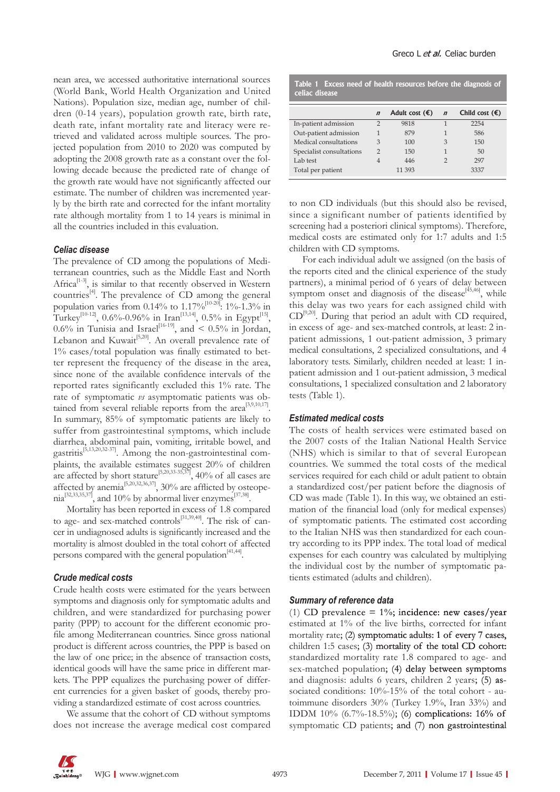nean area, we accessed authoritative international sources (World Bank, World Health Organization and United Nations). Population size, median age, number of children (0-14 years), population growth rate, birth rate, death rate, infant mortality rate and literacy were retrieved and validated across multiple sources. The projected population from 2010 to 2020 was computed by adopting the 2008 growth rate as a constant over the following decade because the predicted rate of change of the growth rate would have not significantly affected our estimate. The number of children was incremented yearly by the birth rate and corrected for the infant mortality rate although mortality from 1 to 14 years is minimal in all the countries included in this evaluation.

### *Celiac disease*

The prevalence of CD among the populations of Mediterranean countries, such as the Middle East and North Africa<sup>[1-3]</sup>, is similar to that recently observed in Western countries<sup>[4]</sup>. The prevalence of CD among the general population varies from 0.14% to 1.17%<sup>[10-20]</sup>: 1%-1.3% in Turkey<sup>[10-12]</sup>, 0.6%-0.96% in Iran<sup>[13,14]</sup>, 0.5% in Egypt<sup>[15]</sup>,  $0.6\%$  in Tunisia and Israel<sup>[16-19]</sup>, and < 0.5% in Jordan, Lebanon and Kuwait<sup>[5,20]</sup>. An overall prevalence rate of 1% cases/total population was finally estimated to better represent the frequency of the disease in the area, since none of the available confidence intervals of the reported rates significantly excluded this 1% rate. The rate of symptomatic *vs* asymptomatic patients was obtained from several reliable reports from the  $area^{[3,9,10,17]}$ . In summary, 85% of symptomatic patients are likely to suffer from gastrointestinal symptoms, which include diarrhea, abdominal pain, vomiting, irritable bowel, and gastritis<sup>[5,13,20,32-37]</sup>. Among the non-gastrointestinal complaints, the available estimates suggest 20% of children plants, the available estimates suggest  $20.7$  of  $\alpha$  comments are affected by short stature<sup>[5,20,33-35,37</sup>], 40% of all cases are affected by anemia<sup>[5,20,32,36,37]</sup>, 30% are afflicted by osteopenia<sup>[32,33,35,37]</sup>, and 10% by abnormal liver enzymes<sup>[37,38]</sup>.

Mortality has been reported in excess of 1.8 compared to age- and sex-matched controls<sup>[31,39,40]</sup>. The risk of cancer in undiagnosed adults is significantly increased and the mortality is almost doubled in the total cohort of affected persons compared with the general population $[41,44]$ .

### *Crude medical costs*

Crude health costs were estimated for the years between symptoms and diagnosis only for symptomatic adults and children, and were standardized for purchasing power parity (PPP) to account for the different economic profile among Mediterranean countries. Since gross national product is different across countries, the PPP is based on the law of one price; in the absence of transaction costs, identical goods will have the same price in different markets. The PPP equalizes the purchasing power of different currencies for a given basket of goods, thereby providing a standardized estimate of cost across countries.

We assume that the cohort of CD without symptoms does not increase the average medical cost compared

|                | Table 1 Excess need of health resources before the diagnosis of |  |  |  |
|----------------|-----------------------------------------------------------------|--|--|--|
| celiac disease |                                                                 |  |  |  |

|                          | $\boldsymbol{n}$ | Adult cost $(\epsilon)$ | $\boldsymbol{n}$ | Child cost $(\epsilon)$ |
|--------------------------|------------------|-------------------------|------------------|-------------------------|
| In-patient admission     | $\mathcal{D}$    | 9818                    |                  | 2254                    |
| Out-patient admission    |                  | 879                     |                  | 586                     |
| Medical consultations    | 3                | 100                     | 3                | 150                     |
| Specialist consultations | $\mathcal{D}$    | 150                     |                  | 50                      |
| Lab test                 |                  | 446                     |                  | 297                     |
| Total per patient        |                  | 11 393                  |                  | 3337                    |

to non CD individuals (but this should also be revised, since a significant number of patients identified by screening had a posteriori clinical symptoms). Therefore, medical costs are estimated only for 1:7 adults and 1:5 children with CD symptoms.

For each individual adult we assigned (on the basis of the reports cited and the clinical experience of the study partners), a minimal period of 6 years of delay between symptom onset and diagnosis of the disease<sup>[45,46]</sup>, while this delay was two years for each assigned child with  $CD^{[9,20]}$ . During that period an adult with CD required, in excess of age- and sex-matched controls, at least: 2 inpatient admissions, 1 out-patient admission, 3 primary medical consultations, 2 specialized consultations, and 4 laboratory tests. Similarly, children needed at least: 1 inpatient admission and 1 out-patient admission, 3 medical consultations, 1 specialized consultation and 2 laboratory tests (Table 1).

### *Estimated medical costs*

The costs of health services were estimated based on the 2007 costs of the Italian National Health Service (NHS) which is similar to that of several European countries. We summed the total costs of the medical services required for each child or adult patient to obtain a standardized cost/per patient before the diagnosis of CD was made (Table 1). In this way, we obtained an estimation of the financial load (only for medical expenses) of symptomatic patients. The estimated cost according to the Italian NHS was then standardized for each country according to its PPP index. The total load of medical expenses for each country was calculated by multiplying the individual cost by the number of symptomatic patients estimated (adults and children).

### *Summary of reference data*

(1) CD prevalence =  $1\%$ ; incidence: new cases/year estimated at 1% of the live births, corrected for infant mortality rate;  $(2)$  symptomatic adults: 1 of every 7 cases, children 1:5 cases; (3) mortality of the total CD cohort: standardized mortality rate 1.8 compared to age- and sex-matched population; (4) delay between symptoms and diagnosis: adults 6 years, children 2 years; (5) associated conditions: 10%-15% of the total cohort - autoimmune disorders 30% (Turkey 1.9%, Iran 33%) and IDDM 10% (6.7%-18.5%); (6) complications: 16% of symptomatic CD patients; and (7) non gastrointestinal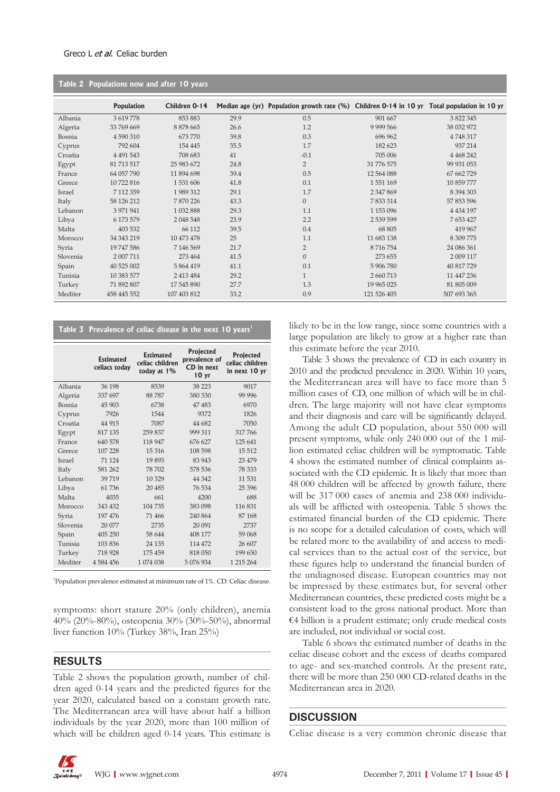### Greco L et al. Celiac burden

|  |  |  | Table 2 Populations now and after 10 years |  |  |  |
|--|--|--|--------------------------------------------|--|--|--|
|--|--|--|--------------------------------------------|--|--|--|

|          | Population    | Children 0-14 |      | Median age (yr) Population growth rate (%) Children 0-14 in 10 yr Total population in 10 yr |               |               |
|----------|---------------|---------------|------|---------------------------------------------------------------------------------------------|---------------|---------------|
| Albania  | 3 6 19 7 78   | 853 883       | 29.9 | 0.5                                                                                         | 901 667       | 3 822 345     |
| Algeria  | 33 769 669    | 8 878 665     | 26.6 | 1.2                                                                                         | 9 9 9 5 6 6   | 38 032 972    |
| Bosnia   | 4 590 310     | 673 770       | 39.8 | 0.3                                                                                         | 696 962       | 4748317       |
| Cyprus   | 792 604       | 154 445       | 35.5 | 1.7                                                                                         | 182 623       | 937 214       |
| Croatia  | 4 4 9 1 5 4 3 | 708 683       | 41   | $-0.1$                                                                                      | 705 006       | 4 4 68 2 42   |
| Egypt    | 81 713 517    | 25 983 672    | 24.8 | $\overline{2}$                                                                              | 31 776 575    | 99 931 053    |
| France   | 64 057 790    | 11 894 698    | 39.4 | 0.5                                                                                         | 12 564 088    | 67 662 729    |
| Greece   | 10 722 816    | 1 531 606     | 41.8 | 0.1                                                                                         | 1551169       | 10 859 777    |
| Israel   | 7 112 359     | 1 989 312     | 29.1 | 1.7                                                                                         | 2 3 4 7 8 6 9 | 8 3 9 4 3 0 3 |
| Italy    | 58 126 212    | 7870226       | 43.3 | $\overline{0}$                                                                              | 7833314       | 57 853 596    |
| Lebanon  | 3 971 941     | 1 0 3 2 8 8 8 | 29.3 | 1.1                                                                                         | 1 1 5 3 0 9 6 | 4 4 3 4 1 9 7 |
| Libya    | 6 173 579     | 2 048 548     | 23.9 | 2.2                                                                                         | 2539599       | 7 653 427     |
| Malta    | 403 532       | 66 112        | 39.5 | 0.4                                                                                         | 68 805        | 419 967       |
| Morocco  | 34 343 219    | 10 473 478    | 25   | 1.1                                                                                         | 11 683 138    | 8 309 775     |
| Syria    | 19 747 586    | 7 146 569     | 21.7 | $\overline{2}$                                                                              | 8 7 1 6 7 5 4 | 24 086 361    |
| Slovenia | 2 007 711     | 273 464       | 41.5 | $\boldsymbol{0}$                                                                            | 273 655       | 2 009 117     |
| Spain    | 40 525 002    | 5 864 419     | 41.1 | 0.1                                                                                         | 5 906 780     | 40 817 729    |
| Tunisia  | 10 383 577    | 2 4 1 3 4 8 4 | 29.2 | $\mathbf{1}$                                                                                | 2 660 713     | 11 447 236    |
| Turkey   | 71 892 807    | 17 545 890    | 27.7 | 1.3                                                                                         | 19 965 025    | 81 805 009    |
| Mediter  | 458 445 552   | 107 403 812   | 33.2 | 0.9                                                                                         | 121 526 405   | 507 693 365   |

### **Table 3 Prevalence of celiac disease in the next 10 years<sup>1</sup>**

|               | <b>Estimated</b><br>celiacs today | <b>Estimated</b><br>celiac children<br>today at 1% | <b>Projected</b><br>prevalence of<br>CD in next<br>10 <sub>yr</sub> | Projected<br>celiac children<br>in next 10 yr |
|---------------|-----------------------------------|----------------------------------------------------|---------------------------------------------------------------------|-----------------------------------------------|
| Albania       | 36 198                            | 8539                                               | 38 223                                                              | 9017                                          |
| Algeria       | 337 697                           | 88787                                              | 380 330                                                             | 99 996                                        |
| Bosnia        | 45 903                            | 6738                                               | 47483                                                               | 6970                                          |
| Cyprus        | 7926                              | 1544                                               | 9372                                                                | 1826                                          |
| Croatia       | 44 915                            | 7087                                               | 44 682                                                              | 7050                                          |
| Egypt         | 817 135                           | 259 837                                            | 999 311                                                             | 317766                                        |
| France        | 640 578                           | 118 947                                            | 676 627                                                             | 125 641                                       |
| Greece        | 107 228                           | 15 3 16                                            | 108 598                                                             | 15 5 12                                       |
| <b>Israel</b> | 71 1 24                           | 19893                                              | 83 943                                                              | 23 479                                        |
| Italy         | 581 262                           | 78 702                                             | 578 536                                                             | 78 333                                        |
| Lebanon       | 39719                             | 10329                                              | 44 342                                                              | 11 531                                        |
| Libya         | 61 736                            | 20 485                                             | 76 534                                                              | 25 3 96                                       |
| Malta         | 4035                              | 661                                                | 4200                                                                | 688                                           |
| Morocco       | 343 432                           | 104 735                                            | 383 098                                                             | 116831                                        |
| Syria         | 197476                            | 71 466                                             | 240 864                                                             | 87168                                         |
| Slovenia      | 20 077                            | 2735                                               | 20 091                                                              | 2737                                          |
| Spain         | 405 250                           | 58 644                                             | 408 177                                                             | 59 068                                        |
| Tunisia       | 103836                            | 24 1 35                                            | 114 472                                                             | 26 607                                        |
| Turkey        | 718 928                           | 175 459                                            | 818 050                                                             | 199 650                                       |
| Mediter       | 4 5 8 4 4 5 6                     | 1 074 038                                          | 5 0 7 6 9 3 4                                                       | 1 215 264                                     |
|               |                                   |                                                    |                                                                     |                                               |

<sup>1</sup>Population prevalence estimated at minimum rate of 1%. CD: Celiac disease.

symptoms: short stature 20% (only children), anemia 40% (20%-80%), osteopenia 30% (30%-50%), abnormal liver function 10% (Turkey 38%, Iran 25%)

# **RESULTS**

Table 2 shows the population growth, number of children aged 0-14 years and the predicted figures for the year 2020, calculated based on a constant growth rate. The Mediterranean area will have about half a billion individuals by the year 2020, more than 100 million of which will be children aged 0-14 years. This estimate is likely to be in the low range, since some countries with a large population are likely to grow at a higher rate than this estimate before the year 2010.

Table 3 shows the prevalence of CD in each country in 2010 and the predicted prevalence in 2020. Within 10 years, the Mediterranean area will have to face more than 5 million cases of CD, one million of which will be in children. The large majority will not have clear symptoms and their diagnosis and care will be significantly delayed. Among the adult CD population, about 550 000 will present symptoms, while only 240 000 out of the 1 million estimated celiac children will be symptomatic. Table 4 shows the estimated number of clinical complaints associated with the CD epidemic. It is likely that more than 48 000 children will be affected by growth failure, there will be 317 000 cases of anemia and 238 000 individuals will be afflicted with osteopenia. Table 5 shows the estimated financial burden of the CD epidemic. There is no scope for a detailed calculation of costs, which will be related more to the availability of and access to medical services than to the actual cost of the service, but these figures help to understand the financial burden of the undiagnosed disease. European countries may not be impressed by these estimates but, for several other Mediterranean countries, these predicted costs might be a consistent load to the gross national product. More than €4 billion is a prudent estimate; only crude medical costs are included, not individual or social cost.

Table 6 shows the estimated number of deaths in the celiac disease cohort and the excess of deaths compared to age- and sex-matched controls. At the present rate, there will be more than 250 000 CD-related deaths in the Mediterranean area in 2020.

# **DISCUSSION**

Celiac disease is a very common chronic disease that

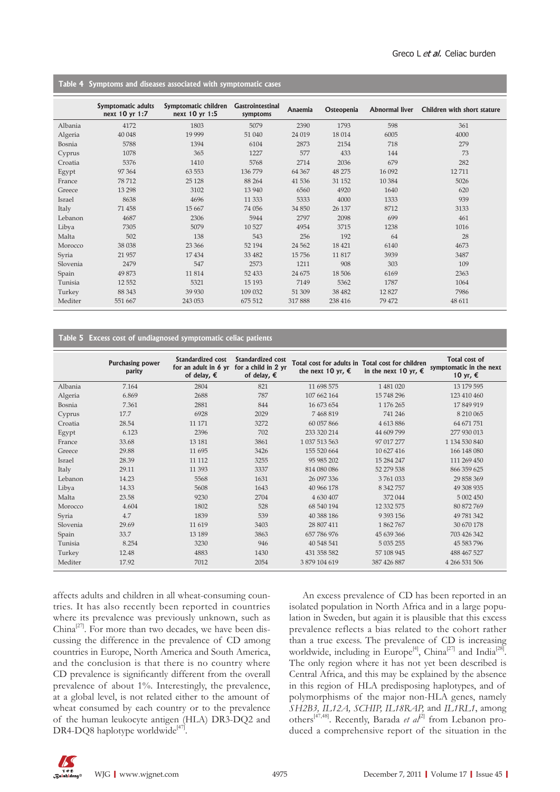**Symptomatic adults Symptomatic children Gastrointestinal** 

**Table 4 Symptoms and diseases associated with symptomatic cases**

|          | next 10 yr 1:7 | symptomatic cinterent sestionicstinal<br>next 10 yr 1:5 | symptoms | Anaemia | <b>Osteopenia</b> | Abnormal liver | Children with short stature |
|----------|----------------|---------------------------------------------------------|----------|---------|-------------------|----------------|-----------------------------|
| Albania  | 4172           | 1803                                                    | 5079     | 2390    | 1793              | 598            | 361                         |
| Algeria  | 40 048         | 19 9 9 9                                                | 51 040   | 24 019  | 18 014            | 6005           | 4000                        |
| Bosnia   | 5788           | 1394                                                    | 6104     | 2873    | 2154              | 718            | 279                         |
| Cyprus   | 1078           | 365                                                     | 1227     | 577     | 433               | 144            | 73                          |
| Croatia  | 5376           | 1410                                                    | 5768     | 2714    | 2036              | 679            | 282                         |
| Egypt    | 97 364         | 63 553                                                  | 136 779  | 64 3 67 | 48 275            | 16 092         | 12711                       |
| France   | 78 712         | 25 1 28                                                 | 88 264   | 41 536  | 31 152            | 10 3 84        | 5026                        |
| Greece   | 13 298         | 3102                                                    | 13 940   | 6560    | 4920              | 1640           | 620                         |
| Israel   | 8638           | 4696                                                    | 11 3 33  | 5333    | 4000              | 1333           | 939                         |
| Italy    | 71 458         | 15 6 67                                                 | 74 056   | 34 850  | 26 137            | 8712           | 3133                        |
| Lebanon  | 4687           | 2306                                                    | 5944     | 2797    | 2098              | 699            | 461                         |
| Libya    | 7305           | 5079                                                    | 10 5 27  | 4954    | 3715              | 1238           | 1016                        |
| Malta    | 502            | 138                                                     | 543      | 256     | 192               | 64             | 28                          |
| Morocco  | 38 038         | 23 36 6                                                 | 52 194   | 24 5 62 | 18 4 21           | 6140           | 4673                        |
| Syria    | 21 957         | 17434                                                   | 33 4 82  | 15756   | 11817             | 3939           | 3487                        |
| Slovenia | 2479           | 547                                                     | 2573     | 1211    | 908               | 303            | 109                         |
| Spain    | 49 873         | 11 8 14                                                 | 52 433   | 24 675  | 18 50 6           | 6169           | 2363                        |
| Tunisia  | 12 5 52        | 5321                                                    | 15 193   | 7149    | 5362              | 1787           | 1064                        |
| Turkey   | 88 343         | 39 930                                                  | 109 032  | 51 309  | 38 4 82           | 12827          | 7986                        |
| Mediter  | 551 667        | 243 053                                                 | 675 512  | 317888  | 238 416           | 79 472         | 48 611                      |

|  | Table 5 Excess cost of undiagnosed symptomatic celiac patients |  |
|--|----------------------------------------------------------------|--|
|  |                                                                |  |

|          | <b>Purchasing power</b><br>parity | <b>Standardized cost</b><br>for an adult in 6 yr<br>of delay, $\epsilon$ | <b>Standardized cost</b><br>for a child in 2 yr<br>of delay, $\epsilon$ | Total cost for adults in Total cost for children<br>the next 10 yr, $\epsilon$ | in the next 10 yr, $\epsilon$ | Total cost of<br>symptomatic in the next<br>10 yr, € |
|----------|-----------------------------------|--------------------------------------------------------------------------|-------------------------------------------------------------------------|--------------------------------------------------------------------------------|-------------------------------|------------------------------------------------------|
| Albania  | 7.164                             | 2804                                                                     | 821                                                                     | 11 698 575                                                                     | 1 481 020                     | 13 179 595                                           |
| Algeria  | 6.869                             | 2688                                                                     | 787                                                                     | 107 662 164                                                                    | 15 748 296                    | 123 410 460                                          |
| Bosnia   | 7.361                             | 2881                                                                     | 844                                                                     | 16 673 654                                                                     | 1 176 265                     | 17849919                                             |
| Cyprus   | 17.7                              | 6928                                                                     | 2029                                                                    | 7468819                                                                        | 741 246                       | 8 210 065                                            |
| Croatia  | 28.54                             | 11 171                                                                   | 3272                                                                    | 60 057 866                                                                     | 4 613 886                     | 64 671 751                                           |
| Egypt    | 6.123                             | 2396                                                                     | 702                                                                     | 233 320 214                                                                    | 44 609 799                    | 277 930 013                                          |
| France   | 33.68                             | 13 18 1                                                                  | 3861                                                                    | 1 037 513 563                                                                  | 97 017 277                    | 1 134 530 840                                        |
| Greece   | 29.88                             | 11 695                                                                   | 3426                                                                    | 155 520 664                                                                    | 10 627 416                    | 166 148 080                                          |
| Israel   | 28.39                             | 11 112                                                                   | 3255                                                                    | 95 985 202                                                                     | 15 284 247                    | 111 269 450                                          |
| Italy    | 29.11                             | 11 3 9 3                                                                 | 3337                                                                    | 814 080 086                                                                    | 52 279 538                    | 866 359 625                                          |
| Lebanon  | 14.23                             | 5568                                                                     | 1631                                                                    | 26 097 336                                                                     | 3761033                       | 29 858 369                                           |
| Libya    | 14.33                             | 5608                                                                     | 1643                                                                    | 40 966 178                                                                     | 8 342 757                     | 49 308 935                                           |
| Malta    | 23.58                             | 9230                                                                     | 2704                                                                    | 4 630 407                                                                      | 372 044                       | 5 002 450                                            |
| Morocco  | 4.604                             | 1802                                                                     | 528                                                                     | 68 540 194                                                                     | 12 332 575                    | 80 872 769                                           |
| Syria    | 4.7                               | 1839                                                                     | 539                                                                     | 40 388 186                                                                     | 9 3 9 3 1 5 6                 | 49 781 342                                           |
| Slovenia | 29.69                             | 11 619                                                                   | 3403                                                                    | 28 807 411                                                                     | 1862767                       | 30 670 178                                           |
| Spain    | 33.7                              | 13 189                                                                   | 3863                                                                    | 657 786 976                                                                    | 45 639 366                    | 703 426 342                                          |
| Tunisia  | 8.254                             | 3230                                                                     | 946                                                                     | 40 548 541                                                                     | 5 0 35 2 55                   | 45 583 796                                           |
| Turkey   | 12.48                             | 4883                                                                     | 1430                                                                    | 431 358 582                                                                    | 57 108 945                    | 488 467 527                                          |
| Mediter  | 17.92                             | 7012                                                                     | 2054                                                                    | 3 879 104 619                                                                  | 387 426 887                   | 4 266 531 506                                        |

affects adults and children in all wheat-consuming countries. It has also recently been reported in countries where its prevalence was previously unknown, such as China<sup>[27]</sup>. For more than two decades, we have been discussing the difference in the prevalence of CD among countries in Europe, North America and South America, and the conclusion is that there is no country where CD prevalence is significantly different from the overall prevalence of about 1%. Interestingly, the prevalence, at a global level, is not related either to the amount of wheat consumed by each country or to the prevalence of the human leukocyte antigen (HLA) DR3-DQ2 and DR4-DQ8 haplotype worldwide $^{[47]}$ .

An excess prevalence of CD has been reported in an isolated population in North Africa and in a large population in Sweden, but again it is plausible that this excess prevalence reflects a bias related to the cohort rather than a true excess. The prevalence of CD is increasing worldwide, including in Europe<sup>[4]</sup>, China<sup>[27]</sup> and India<sup>[28]</sup>. The only region where it has not yet been described is Central Africa, and this may be explained by the absence in this region of HLA predisposing haplotypes, and of polymorphisms of the major non-HLA genes, namely *SH2B3, IL12A, SCHIP, IL18RAP,* and *IL1RL1*, among others<sup>[47,48]</sup>. Recently, Barada *et al*<sup>2]</sup> from Lebanon produced a comprehensive report of the situation in the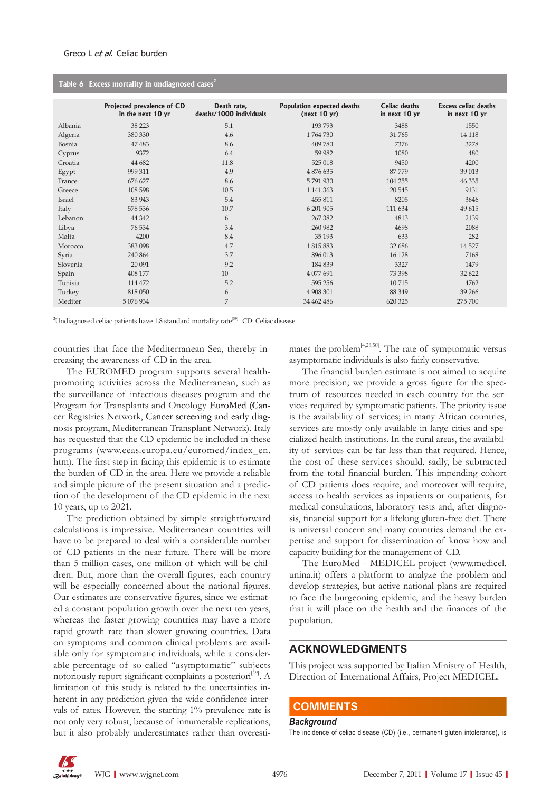| Table 6 Excess mortality in undiagnosed cases |  |  |  |  |  |  |
|-----------------------------------------------|--|--|--|--|--|--|
|-----------------------------------------------|--|--|--|--|--|--|

|          | Projected prevalence of CD | Death rate,             | Population expected deaths | Celiac deaths | <b>Excess celiac deaths</b> |
|----------|----------------------------|-------------------------|----------------------------|---------------|-----------------------------|
|          | in the next 10 yr          | deaths/1000 individuals | (next 10 yr)               | in next 10 yr | in next 10 yr               |
| Albania  | 38 223                     | 5.1                     | 193793                     | 3488          | 1550                        |
| Algeria  | 380 330                    | 4.6                     | 1764730                    | 31765         | 14 118                      |
| Bosnia   | 47483                      | 8.6                     | 409 780                    | 7376          | 3278                        |
| Cyprus   | 9372                       | 6.4                     | 59 982                     | 1080          | 480                         |
| Croatia  | 44 682                     | 11.8                    | 525 018                    | 9450          | 4200                        |
| Egypt    | 999 311                    | 4.9                     | 4876635                    | 87779         | 39 013                      |
| France   | 676 627                    | 8.6                     | 5791930                    | 104 255       | 46 335                      |
| Greece   | 108 598                    | 10.5                    | 1 141 363                  | 20 545        | 9131                        |
| Israel   | 83 943                     | 5.4                     | 455 811                    | 8205          | 3646                        |
| Italy    | 578 536                    | 10.7                    | 6 201 905                  | 111 634       | 49 615                      |
| Lebanon  | 44 342                     | 6                       | 267382                     | 4813          | 2139                        |
| Libya    | 76 534                     | 3.4                     | 260 982                    | 4698          | 2088                        |
| Malta    | 4200                       | 8.4                     | 35 193                     | 633           | 282                         |
| Morocco  | 383 098                    | 4.7                     | 1815883                    | 32 686        | 14 5 27                     |
| Syria    | 240 864                    | 3.7                     | 896 013                    | 16 128        | 7168                        |
| Slovenia | 20 091                     | 9.2                     | 184 839                    | 3327          | 1479                        |
| Spain    | 408 177                    | 10                      | 4 077 691                  | 73 398        | 32 622                      |
| Tunisia  | 114 472                    | 5.2                     | 595 256                    | 10715         | 4762                        |
| Turkey   | 818 050                    | 6                       | 4 908 301                  | 88 349        | 39 26 6                     |
| Mediter  | 5 0 7 6 9 3 4              | 7                       | 34 462 486                 | 620 325       | 275 700                     |

 $^2$ Undiagnosed celiac patients have 1.8 standard mortality rate $^{[39]}$ . CD: Celiac disease.

countries that face the Mediterranean Sea, thereby increasing the awareness of CD in the area.

The EUROMED program supports several healthpromoting activities across the Mediterranean, such as the surveillance of infectious diseases program and the Program for Transplants and Oncology EuroMed (Cancer Registries Network, Cancer screening and early diagnosis program, Mediterranean Transplant Network). Italy has requested that the CD epidemic be included in these programs (www.eeas.europa.eu/euromed/index\_en. htm). The first step in facing this epidemic is to estimate the burden of CD in the area. Here we provide a reliable and simple picture of the present situation and a prediction of the development of the CD epidemic in the next 10 years, up to 2021.

The prediction obtained by simple straightforward calculations is impressive. Mediterranean countries will have to be prepared to deal with a considerable number of CD patients in the near future. There will be more than 5 million cases, one million of which will be children. But, more than the overall figures, each country will be especially concerned about the national figures. Our estimates are conservative figures, since we estimated a constant population growth over the next ten years, whereas the faster growing countries may have a more rapid growth rate than slower growing countries. Data on symptoms and common clinical problems are available only for symptomatic individuals, while a considerable percentage of so-called "asymptomatic" subjects notoriously report significant complaints a posteriori<sup>[49]</sup>. A limitation of this study is related to the uncertainties inherent in any prediction given the wide confidence intervals of rates. However, the starting 1% prevalence rate is not only very robust, because of innumerable replications, but it also probably underestimates rather than overestimates the problem<sup>[4,28,50]</sup>. The rate of symptomatic versus asymptomatic individuals is also fairly conservative.

The financial burden estimate is not aimed to acquire more precision; we provide a gross figure for the spectrum of resources needed in each country for the services required by symptomatic patients. The priority issue is the availability of services; in many African countries, services are mostly only available in large cities and specialized health institutions. In the rural areas, the availability of services can be far less than that required. Hence, the cost of these services should, sadly, be subtracted from the total financial burden. This impending cohort of CD patients does require, and moreover will require, access to health services as inpatients or outpatients, for medical consultations, laboratory tests and, after diagnosis, financial support for a lifelong gluten-free diet. There is universal concern and many countries demand the expertise and support for dissemination of know how and capacity building for the management of CD.

The EuroMed - MEDICEL project (www.medicel. unina.it) offers a platform to analyze the problem and develop strategies, but active national plans are required to face the burgeoning epidemic, and the heavy burden that it will place on the health and the finances of the population.

### **ACKNOWLEDGMENTS**

This project was supported by Italian Ministry of Health, Direction of International Affairs, Project MEDICEL.

# **COMMENTS COMMENTS**

#### *Background*

The incidence of celiac disease (CD) (i.e., permanent gluten intolerance), is

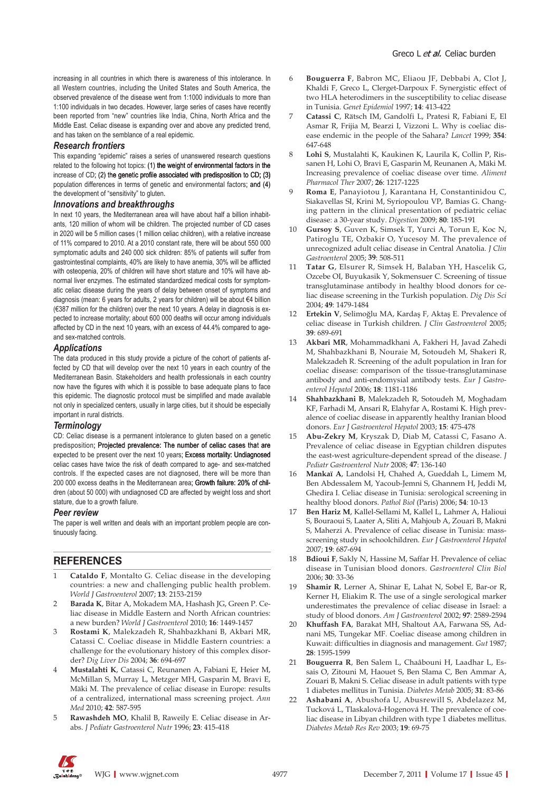increasing in all countries in which there is awareness of this intolerance. In all Western countries, including the United States and South America, the observed prevalence of the disease went from 1:1000 individuals to more than 1:100 individuals in two decades. However, large series of cases have recently been reported from "new" countries like India, China, North Africa and the Middle East. Celiac disease is expanding over and above any predicted trend, and has taken on the semblance of a real epidemic.

### *Research frontiers*

This expanding "epidemic" raises a series of unanswered research questions related to the following hot topics: (1) the weight of environmental factors in the increase of CD; (2) the genetic profile associated with predisposition to CD; (3) population differences in terms of genetic and environmental factors; and (4) the development of "sensitivity" to gluten

### *Innovations and breakthroughs*

In next 10 years, the Mediterranean area will have about half a billion inhabitants, 120 million of whom will be children. The projected number of CD cases in 2020 will be 5 million cases (1 million celiac children), with a relative increase of 11% compared to 2010. At a 2010 constant rate, there will be about 550 000 symptomatic adults and 240 000 sick children: 85% of patients will suffer from gastrointestinal complaints, 40% are likely to have anemia, 30% will be afflicted with osteopenia, 20% of children will have short stature and 10% will have abnormal liver enzymes. The estimated standardized medical costs for symptomatic celiac disease during the years of delay between onset of symptoms and diagnosis (mean: 6 years for adults, 2 years for children) will be about €4 billion (€387 million for the children) over the next 10 years. A delay in diagnosis is expected to increase mortality; about 600 000 deaths will occur among individuals affected by CD in the next 10 years, with an excess of 44.4% compared to ageand sex-matched controls.

### *Applications*

The data produced in this study provide a picture of the cohort of patients affected by CD that will develop over the next 10 years in each country of the Mediterranean Basin. Stakeholders and health professionals in each country now have the figures with which it is possible to base adequate plans to face this epidemic. The diagnostic protocol must be simplified and made available not only in specialized centers, usually in large cities, but it should be especially important in rural districts.

### *Terminology*

CD: Celiac disease is a permanent intolerance to gluten based on a genetic predisposition; Projected prevalence: The number of celiac cases that are expected to be present over the next 10 years; Excess mortality: Undiagnosed celiac cases have twice the risk of death compared to age- and sex-matched controls. If the expected cases are not diagnosed, there will be more than 200 000 excess deaths in the Mediterranean area; Growth failure: 20% of children (about 50 000) with undiagnosed CD are affected by weight loss and short stature, due to a growth failure.

#### *Peer review*

The paper is well written and deals with an important problem people are continuously facing.

# **REFERENCES**

- 1 **Cataldo F**, Montalto G. Celiac disease in the developing countries: a new and challenging public health problem. *World J Gastroenterol* 2007; **13**: 2153-2159
- 2 **Barada K**, Bitar A, Mokadem MA, Hashash JG, Green P. Celiac disease in Middle Eastern and North African countries: a new burden? *World J Gastroenterol* 2010; **16**: 1449-1457
- 3 **Rostami K**, Malekzadeh R, Shahbazkhani B, Akbari MR, Catassi C. Coeliac disease in Middle Eastern countries: a challenge for the evolutionary history of this complex disorder? *Dig Liver Dis* 2004; **36**: 694-697
- 4 **Mustalahti K**, Catassi C, Reunanen A, Fabiani E, Heier M, McMillan S, Murray L, Metzger MH, Gasparin M, Bravi E, Mäki M. The prevalence of celiac disease in Europe: results of a centralized, international mass screening project. *Ann Med* 2010; **42**: 587-595
- 5 **Rawashdeh MO**, Khalil B, Raweily E. Celiac disease in Arabs. *J Pediatr Gastroenterol Nutr* 1996; **23**: 415-418
- 6 **Bouguerra F**, Babron MC, Eliaou JF, Debbabi A, Clot J, Khaldi F, Greco L, Clerget-Darpoux F. Synergistic effect of two HLA heterodimers in the susceptibility to celiac disease in Tunisia. *Genet Epidemiol* 1997; **14**: 413-422
- 7 **Catassi C**, Rätsch IM, Gandolfi L, Pratesi R, Fabiani E, El Asmar R, Frijia M, Bearzi I, Vizzoni L. Why is coeliac disease endemic in the people of the Sahara? *Lancet* 1999; **354**: 647-648
- 8 **Lohi S**, Mustalahti K, Kaukinen K, Laurila K, Collin P, Rissanen H, Lohi O, Bravi E, Gasparin M, Reunanen A, Mäki M. Increasing prevalence of coeliac disease over time. *Aliment Pharmacol Ther* 2007; **26**: 1217-1225
- 9 **Roma E**, Panayiotou J, Karantana H, Constantinidou C, Siakavellas SI, Krini M, Syriopoulou VP, Bamias G. Changing pattern in the clinical presentation of pediatric celiac disease: a 30-year study. *Digestion* 2009; **80**: 185-191
- Gursoy S, Guven K, Simsek T, Yurci A, Torun E, Koc N, Patiroglu TE, Ozbakir O, Yucesoy M. The prevalence of unrecognized adult celiac disease in Central Anatolia. *J Clin Gastroenterol* 2005; **39**: 508-511
- 11 **Tatar G**, Elsurer R, Simsek H, Balaban YH, Hascelik G, Ozcebe OI, Buyukasik Y, Sokmensuer C. Screening of tissue transglutaminase antibody in healthy blood donors for celiac disease screening in the Turkish population. *Dig Dis Sci* 2004; **49**: 1479-1484
- 12 **Ertekin V**, Selimoğlu MA, Kardaş F, Aktaş E. Prevalence of celiac disease in Turkish children. *J Clin Gastroenterol* 2005; **39**: 689-691
- 13 **Akbari MR**, Mohammadkhani A, Fakheri H, Javad Zahedi M, Shahbazkhani B, Nouraie M, Sotoudeh M, Shakeri R, Malekzadeh R. Screening of the adult population in Iran for coeliac disease: comparison of the tissue-transglutaminase antibody and anti-endomysial antibody tests. *Eur J Gastroenterol Hepatol* 2006; **18**: 1181-1186
- 14 **Shahbazkhani B**, Malekzadeh R, Sotoudeh M, Moghadam KF, Farhadi M, Ansari R, Elahyfar A, Rostami K. High prevalence of coeliac disease in apparently healthy Iranian blood donors. *Eur J Gastroenterol Hepatol* 2003; **15**: 475-478
- 15 **Abu-Zekry M**, Kryszak D, Diab M, Catassi C, Fasano A. Prevalence of celiac disease in Egyptian children disputes the east-west agriculture-dependent spread of the disease. *J Pediatr Gastroenterol Nutr* 2008; **47**: 136-140
- 16 **Mankaï A**, Landolsi H, Chahed A, Gueddah L, Limem M, Ben Abdessalem M, Yacoub-Jemni S, Ghannem H, Jeddi M, Ghedira I. Celiac disease in Tunisia: serological screening in healthy blood donors. *Pathol Biol* (Paris) 2006; **54**: 10-13
- 17 **Ben Hariz M**, Kallel-Sellami M, Kallel L, Lahmer A, Halioui S, Bouraoui S, Laater A, Sliti A, Mahjoub A, Zouari B, Makni S, Maherzi A. Prevalence of celiac disease in Tunisia: massscreening study in schoolchildren. *Eur J Gastroenterol Hepatol* 2007; **19**: 687-694
- 18 **Bdioui F**, Sakly N, Hassine M, Saffar H. Prevalence of celiac disease in Tunisian blood donors. *Gastroenterol Clin Biol* 2006; **30**: 33-36
- 19 **Shamir R**, Lerner A, Shinar E, Lahat N, Sobel E, Bar-or R, Kerner H, Eliakim R. The use of a single serological marker underestimates the prevalence of celiac disease in Israel: a study of blood donors. *Am J Gastroenterol* 2002; **97**: 2589-2594
- 20 **Khuffash FA**, Barakat MH, Shaltout AA, Farwana SS, Adnani MS, Tungekar MF. Coeliac disease among children in Kuwait: difficulties in diagnosis and management. *Gut* 1987; **28**: 1595-1599
- 21 **Bouguerra R**, Ben Salem L, Chaâbouni H, Laadhar L, Essais O, Zitouni M, Haouet S, Ben Slama C, Ben Ammar A, Zouari B, Makni S. Celiac disease in adult patients with type 1 diabetes mellitus in Tunisia. *Diabetes Metab* 2005; **31**: 83-86
- 22 **Ashabani A**, Abushofa U, Abusrewill S, Abdelazez M, Tucková L, Tlaskalová-Hogenová H. The prevalence of coeliac disease in Libyan children with type 1 diabetes mellitus. *Diabetes Metab Res Rev* 2003; **19**: 69-75